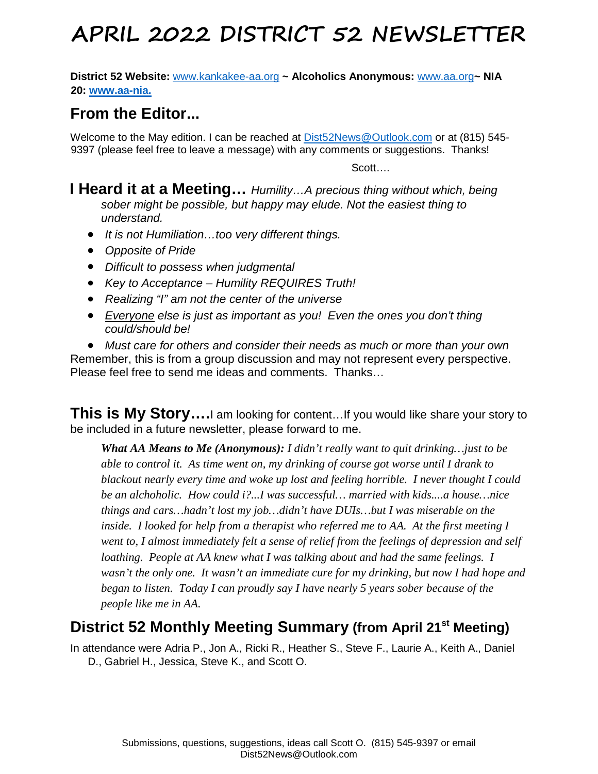**District 52 Website:** [www.kankakee-aa.org](http://www.kankakee-aa.org/) **~ Alcoholics Anonymous:** [www.aa.org](http://www.aa.org/)**~ NIA 20: [www.aa-nia.](http://www.aa-nia.org/)**

## **From the Editor...**

Welcome to the May edition. I can be reached at [Dist52News@Outlook.com](mailto:Dist52News@Outlook.com) or at (815) 545- 9397 (please feel free to leave a message) with any comments or suggestions. Thanks!

Scott….

### **I Heard it at a Meeting…** *Humility…A precious thing without which, being sober might be possible, but happy may elude. Not the easiest thing to understand.*

- *It is not Humiliation…too very different things.*
- *Opposite of Pride*
- *Difficult to possess when judgmental*
- *Key to Acceptance – Humility REQUIRES Truth!*
- *Realizing "I" am not the center of the universe*
- *Everyone else is just as important as you! Even the ones you don't thing could/should be!*

• *Must care for others and consider their needs as much or more than your own* Remember, this is from a group discussion and may not represent every perspective. Please feel free to send me ideas and comments. Thanks…

**This is My Story….**I am looking for content…If you would like share your story to be included in a future newsletter, please forward to me.

*What AA Means to Me (Anonymous): I didn't really want to quit drinking…just to be able to control it. As time went on, my drinking of course got worse until I drank to blackout nearly every time and woke up lost and feeling horrible. I never thought I could be an alchoholic. How could i?...I was successful… married with kids....a house…nice things and cars…hadn't lost my job…didn't have DUIs…but I was miserable on the inside. I looked for help from a therapist who referred me to AA. At the first meeting I went to, I almost immediately felt a sense of relief from the feelings of depression and self loathing. People at AA knew what I was talking about and had the same feelings. I wasn't the only one. It wasn't an immediate cure for my drinking, but now I had hope and began to listen. Today I can proudly say I have nearly 5 years sober because of the people like me in AA.*

## **District 52 Monthly Meeting Summary (from April 21st Meeting)**

In attendance were Adria P., Jon A., Ricki R., Heather S., Steve F., Laurie A., Keith A., Daniel D., Gabriel H., Jessica, Steve K., and Scott O.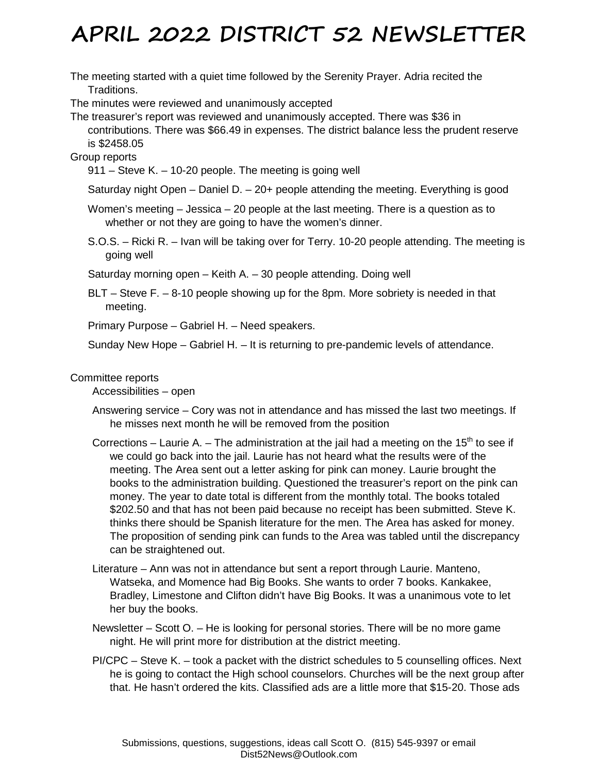The meeting started with a quiet time followed by the Serenity Prayer. Adria recited the Traditions.

The minutes were reviewed and unanimously accepted

The treasurer's report was reviewed and unanimously accepted. There was \$36 in contributions. There was \$66.49 in expenses. The district balance less the prudent reserve is \$2458.05

#### Group reports

911 – Steve K. – 10-20 people. The meeting is going well

Saturday night Open – Daniel D. – 20+ people attending the meeting. Everything is good

Women's meeting – Jessica – 20 people at the last meeting. There is a question as to whether or not they are going to have the women's dinner.

S.O.S. – Ricki R. – Ivan will be taking over for Terry. 10-20 people attending. The meeting is going well

Saturday morning open – Keith A. – 30 people attending. Doing well

BLT – Steve F. – 8-10 people showing up for the 8pm. More sobriety is needed in that meeting.

Primary Purpose – Gabriel H. – Need speakers.

Sunday New Hope – Gabriel H. – It is returning to pre-pandemic levels of attendance.

#### Committee reports

Accessibilities – open

- Answering service Cory was not in attendance and has missed the last two meetings. If he misses next month he will be removed from the position
- Corrections Laurie A. The administration at the jail had a meeting on the 15<sup>th</sup> to see if we could go back into the jail. Laurie has not heard what the results were of the meeting. The Area sent out a letter asking for pink can money. Laurie brought the books to the administration building. Questioned the treasurer's report on the pink can money. The year to date total is different from the monthly total. The books totaled \$202.50 and that has not been paid because no receipt has been submitted. Steve K. thinks there should be Spanish literature for the men. The Area has asked for money. The proposition of sending pink can funds to the Area was tabled until the discrepancy can be straightened out.
- Literature Ann was not in attendance but sent a report through Laurie. Manteno, Watseka, and Momence had Big Books. She wants to order 7 books. Kankakee, Bradley, Limestone and Clifton didn't have Big Books. It was a unanimous vote to let her buy the books.
- Newsletter Scott O. He is looking for personal stories. There will be no more game night. He will print more for distribution at the district meeting.
- PI/CPC Steve K. took a packet with the district schedules to 5 counselling offices. Next he is going to contact the High school counselors. Churches will be the next group after that. He hasn't ordered the kits. Classified ads are a little more that \$15-20. Those ads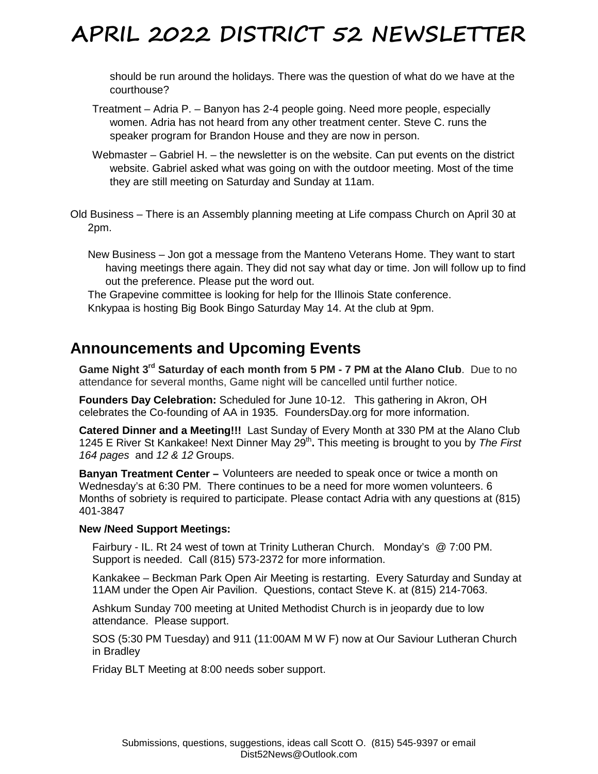should be run around the holidays. There was the question of what do we have at the courthouse?

- Treatment Adria P. Banyon has 2-4 people going. Need more people, especially women. Adria has not heard from any other treatment center. Steve C. runs the speaker program for Brandon House and they are now in person.
- Webmaster Gabriel H. the newsletter is on the website. Can put events on the district website. Gabriel asked what was going on with the outdoor meeting. Most of the time they are still meeting on Saturday and Sunday at 11am.
- Old Business There is an Assembly planning meeting at Life compass Church on April 30 at 2pm.

New Business – Jon got a message from the Manteno Veterans Home. They want to start having meetings there again. They did not say what day or time. Jon will follow up to find out the preference. Please put the word out.

The Grapevine committee is looking for help for the Illinois State conference. Knkypaa is hosting Big Book Bingo Saturday May 14. At the club at 9pm.

## **Announcements and Upcoming Events**

**Game Night 3rd Saturday of each month from 5 PM - 7 PM at the Alano Club**. Due to no attendance for several months, Game night will be cancelled until further notice.

**Founders Day Celebration:** Scheduled for June 10-12. This gathering in Akron, OH celebrates the Co-founding of AA in 1935. FoundersDay.org for more information.

**Catered Dinner and a Meeting!!!** Last Sunday of Every Month at 330 PM at the Alano Club 1245 E River St Kankakee! Next Dinner May 29<sup>th</sup>. This meeting is brought to you by The First *164 pages* and *12 & 12* Groups.

**Banyan Treatment Center –** Volunteers are needed to speak once or twice a month on Wednesday's at 6:30 PM. There continues to be a need for more women volunteers. 6 Months of sobriety is required to participate. Please contact Adria with any questions at (815) 401-3847

#### **New /Need Support Meetings:**

Fairbury - IL. Rt 24 west of town at Trinity Lutheran Church. Monday's @ 7:00 PM. Support is needed. Call (815) 573-2372 for more information.

Kankakee – Beckman Park Open Air Meeting is restarting. Every Saturday and Sunday at 11AM under the Open Air Pavilion. Questions, contact Steve K. at (815) 214-7063.

Ashkum Sunday 700 meeting at United Methodist Church is in jeopardy due to low attendance. Please support.

SOS (5:30 PM Tuesday) and 911 (11:00AM M W F) now at Our Saviour Lutheran Church in Bradley

Friday BLT Meeting at 8:00 needs sober support.